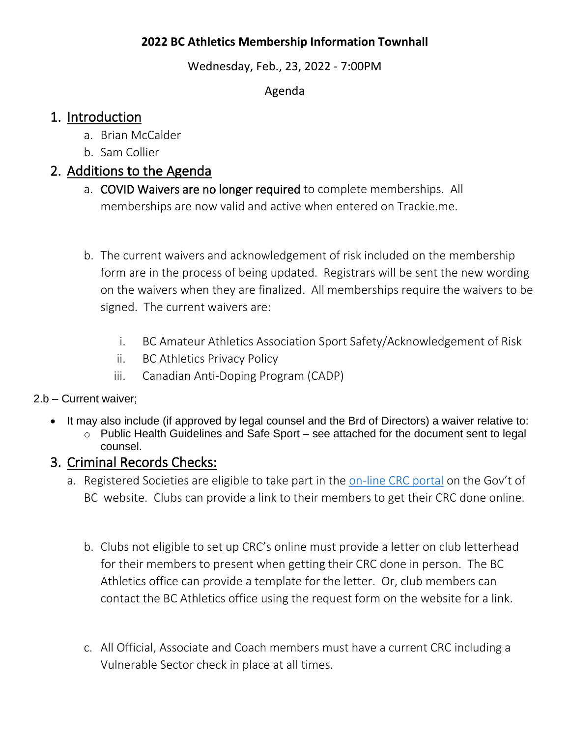#### **2022 BC Athletics Membership Information Townhall**

Wednesday, Feb., 23, 2022 - 7:00PM

Agenda

## 1. Introduction

- a. Brian McCalder
- b. Sam Collier

# 2. Additions to the Agenda

- a. COVID Waivers are no longer required to complete memberships. All memberships are now valid and active when entered on Trackie.me.
- b. The current waivers and acknowledgement of risk included on the membership form are in the process of being updated. Registrars will be sent the new wording on the waivers when they are finalized. All memberships require the waivers to be signed. The current waivers are:
	- i. BC Amateur Athletics Association Sport Safety/Acknowledgement of Risk
	- ii. BC Athletics Privacy Policy
	- iii. Canadian Anti-Doping Program (CADP)

#### 2.b – Current waiver;

- It may also include (if approved by legal counsel and the Brd of Directors) a waiver relative to:
	- o Public Health Guidelines and Safe Sport see attached for the document sent to legal counsel.

# 3. Criminal Records Checks:

- a. Registered Societies are eligible to take part in the [on-line CRC portal](https://www2.gov.bc.ca/gov/content/safety/crime-prevention/criminal-record-check) on the Gov't of BC website. Clubs can provide a link to their members to get their CRC done online.
	- b. Clubs not eligible to set up CRC's online must provide a letter on club letterhead for their members to present when getting their CRC done in person. The BC Athletics office can provide a template for the letter. Or, club members can contact the BC Athletics office using the request form on the website for a link.
	- c. All Official, Associate and Coach members must have a current CRC including a Vulnerable Sector check in place at all times.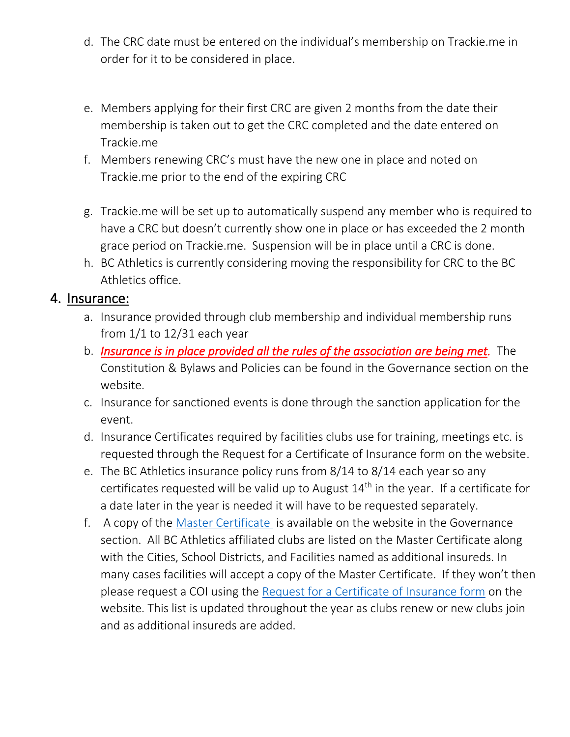- d. The CRC date must be entered on the individual's membership on Trackie.me in order for it to be considered in place.
- e. Members applying for their first CRC are given 2 months from the date their membership is taken out to get the CRC completed and the date entered on Trackie.me
- f. Members renewing CRC's must have the new one in place and noted on Trackie.me prior to the end of the expiring CRC
- g. Trackie.me will be set up to automatically suspend any member who is required to have a CRC but doesn't currently show one in place or has exceeded the 2 month grace period on Trackie.me. Suspension will be in place until a CRC is done.
- h. BC Athletics is currently considering moving the responsibility for CRC to the BC Athletics office.

#### 4. Insurance:

- a. Insurance provided through club membership and individual membership runs from 1/1 to 12/31 each year
- b. *Insurance is in place provided all the rules of the association are being met.* The Constitution & Bylaws and Policies can be found in the Governance section on the website.
- c. Insurance for sanctioned events is done through the sanction application for the event.
- d. Insurance Certificates required by facilities clubs use for training, meetings etc. is requested through the Request for a Certificate of Insurance form on the website.
- e. The BC Athletics insurance policy runs from 8/14 to 8/14 each year so any certificates requested will be valid up to August  $14<sup>th</sup>$  in the year. If a certificate for a date later in the year is needed it will have to be requested separately.
- f. A copy of the [Master Certificate](https://www.bcathletics.org/admin/js/elfinder/files/Insurance/CAS670628-04%20-%202021-2022%20Revised%20Master%20Annual%20COI.pdf) is available on the website in the Governance section. All BC Athletics affiliated clubs are listed on the Master Certificate along with the Cities, School Districts, and Facilities named as additional insureds. In many cases facilities will accept a copy of the Master Certificate. If they won't then please request a COI using the [Request for a Certificate of Insurance form](https://www.bcathletics.org/Content/request-for-a-certificate-of-insurance-coi/269/) on the website. This list is updated throughout the year as clubs renew or new clubs join and as additional insureds are added.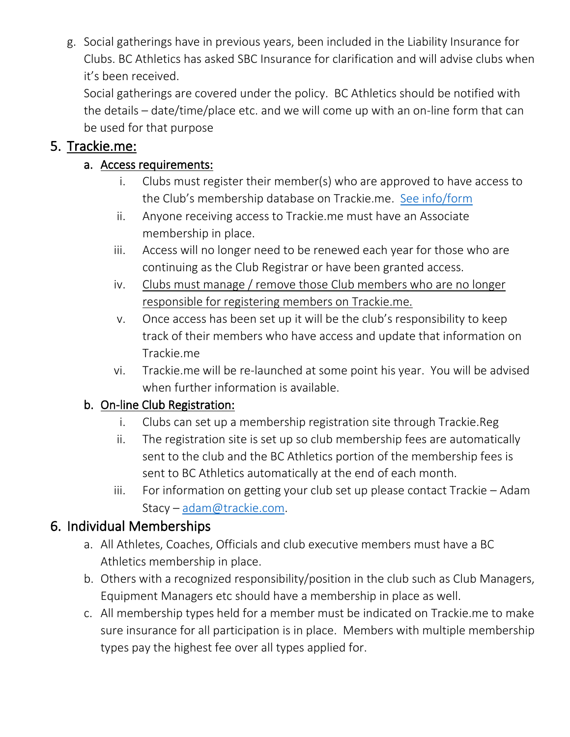g. Social gatherings have in previous years, been included in the Liability Insurance for Clubs. BC Athletics has asked SBC Insurance for clarification and will advise clubs when it's been received.

Social gatherings are covered under the policy. BC Athletics should be notified with the details – date/time/place etc. and we will come up with an on-line form that can be used for that purpose

### 5. Trackie.me:

### a. Access requirements:

- i. Clubs must register their member(s) who are approved to have access to the Club's membership database on Trackie.me. [See info/form](https://www.bcathletics.org/Content/trackie-me-access-request/231/)
- ii. Anyone receiving access to Trackie.me must have an Associate membership in place.
- iii. Access will no longer need to be renewed each year for those who are continuing as the Club Registrar or have been granted access.
- iv. Clubs must manage / remove those Club members who are no longer responsible for registering members on Trackie.me.
- v. Once access has been set up it will be the club's responsibility to keep track of their members who have access and update that information on Trackie.me
- vi. Trackie.me will be re-launched at some point his year. You will be advised when further information is available.

# b. On-line Club Registration:

- i. Clubs can set up a membership registration site through Trackie.Reg
- ii. The registration site is set up so club membership fees are automatically sent to the club and the BC Athletics portion of the membership fees is sent to BC Athletics automatically at the end of each month.
- iii. For information on getting your club set up please contact Trackie Adam Stacy – [adam@trackie.com.](mailto:adam@trackie.com)

# 6. Individual Memberships

- a. All Athletes, Coaches, Officials and club executive members must have a BC Athletics membership in place.
- b. Others with a recognized responsibility/position in the club such as Club Managers, Equipment Managers etc should have a membership in place as well.
- c. All membership types held for a member must be indicated on Trackie.me to make sure insurance for all participation is in place. Members with multiple membership types pay the highest fee over all types applied for.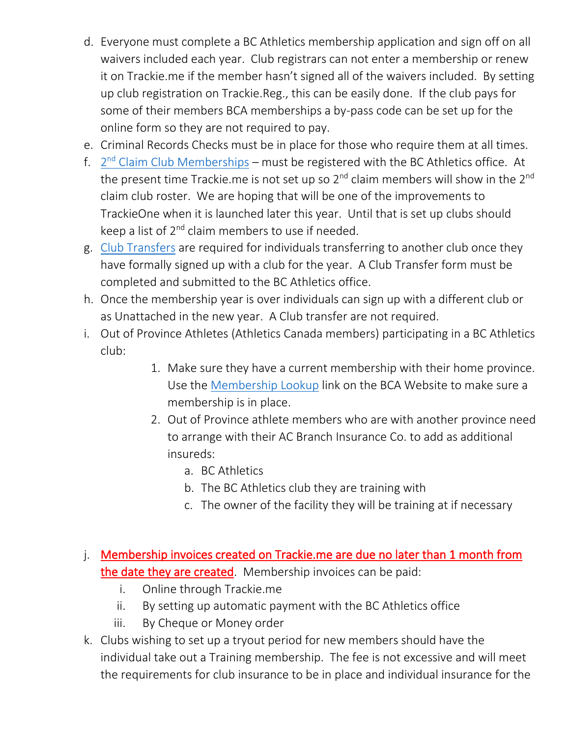- d. Everyone must complete a BC Athletics membership application and sign off on all waivers included each year. Club registrars can not enter a membership or renew it on Trackie.me if the member hasn't signed all of the waivers included. By setting up club registration on Trackie.Reg., this can be easily done. If the club pays for some of their members BCA memberships a by-pass code can be set up for the online form so they are not required to pay.
- e. Criminal Records Checks must be in place for those who require them at all times.
- f. 2<sup>nd</sup> [Claim Club Memberships](https://www.bcathletics.org/Membership/other-info-amp-forms/31/) must be registered with the BC Athletics office. At the present time Trackie.me is not set up so  $2^{nd}$  claim members will show in the  $2^{nd}$ claim club roster. We are hoping that will be one of the improvements to TrackieOne when it is launched later this year. Until that is set up clubs should keep a list of 2<sup>nd</sup> claim members to use if needed.
- g. [Club Transfers](https://www.bcathletics.org/Membership/other-info-amp-forms/31/) are required for individuals transferring to another club once they have formally signed up with a club for the year. A Club Transfer form must be completed and submitted to the BC Athletics office.
- h. Once the membership year is over individuals can sign up with a different club or as Unattached in the new year. A Club transfer are not required.
- i. Out of Province Athletes (Athletics Canada members) participating in a BC Athletics club:
	- 1. Make sure they have a current membership with their home province. Use the [Membership Lookup](https://www.trackie.com/members/lookup.php?branch_id=11) link on the BCA Website to make sure a membership is in place.
	- 2. Out of Province athlete members who are with another province need to arrange with their AC Branch Insurance Co. to add as additional insureds:
		- a. BC Athletics
		- b. The BC Athletics club they are training with
		- c. The owner of the facility they will be training at if necessary
- j. Membership invoices created on Trackie.me are due no later than 1 month from the date they are created. Membership invoices can be paid:
	- i. Online through Trackie.me
	- ii. By setting up automatic payment with the BC Athletics office
	- iii. By Cheque or Money order
- k. Clubs wishing to set up a tryout period for new members should have the individual take out a Training membership. The fee is not excessive and will meet the requirements for club insurance to be in place and individual insurance for the